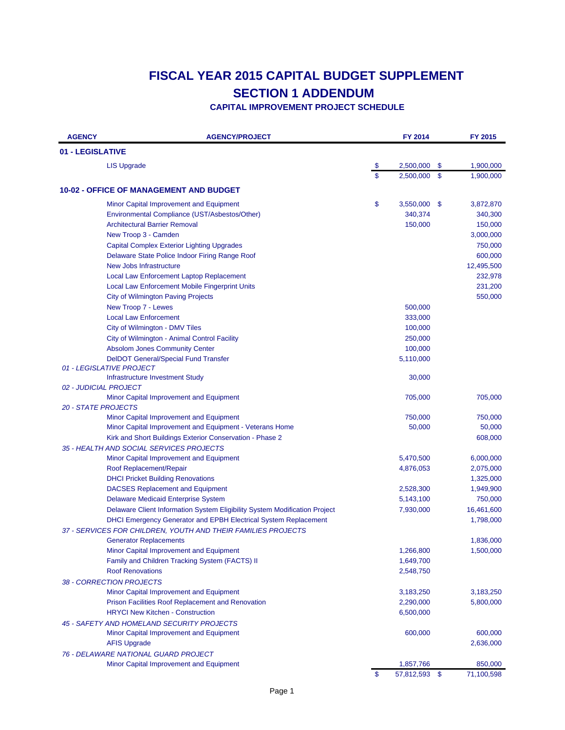| <b>AGENCY</b>              | <b>AGENCY/PROJECT</b>                                                                 |              | FY 2014                |               | FY 2015                |
|----------------------------|---------------------------------------------------------------------------------------|--------------|------------------------|---------------|------------------------|
| 01 - LEGISLATIVE           |                                                                                       |              |                        |               |                        |
|                            | <b>LIS Upgrade</b>                                                                    | \$           | 2,500,000              | \$            | 1,900,000              |
|                            |                                                                                       | $\mathbf S$  | 2,500,000              | $\mathsf{\$}$ | 1,900,000              |
|                            | <b>10-02 - OFFICE OF MANAGEMENT AND BUDGET</b>                                        |              |                        |               |                        |
|                            | Minor Capital Improvement and Equipment                                               | \$           | 3,550,000 \$           |               | 3,872,870              |
|                            | Environmental Compliance (UST/Asbestos/Other)                                         |              | 340,374                |               | 340,300                |
|                            | <b>Architectural Barrier Removal</b>                                                  |              | 150,000                |               | 150,000                |
|                            | New Troop 3 - Camden                                                                  |              |                        |               | 3,000,000              |
|                            | <b>Capital Complex Exterior Lighting Upgrades</b>                                     |              |                        |               | 750,000                |
|                            | Delaware State Police Indoor Firing Range Roof                                        |              |                        |               | 600,000                |
|                            | New Jobs Infrastructure                                                               |              |                        |               | 12,495,500             |
|                            | Local Law Enforcement Laptop Replacement                                              |              |                        |               | 232,978                |
|                            | Local Law Enforcement Mobile Fingerprint Units                                        |              |                        |               | 231,200                |
|                            | <b>City of Wilmington Paving Projects</b>                                             |              |                        |               | 550,000                |
|                            | New Troop 7 - Lewes                                                                   |              | 500,000                |               |                        |
|                            | <b>Local Law Enforcement</b>                                                          |              | 333,000                |               |                        |
|                            | City of Wilmington - DMV Tiles                                                        |              | 100,000                |               |                        |
|                            | City of Wilmington - Animal Control Facility                                          |              | 250,000                |               |                        |
|                            | <b>Absolom Jones Community Center</b>                                                 |              | 100,000                |               |                        |
|                            | <b>DeIDOT General/Special Fund Transfer</b>                                           |              | 5,110,000              |               |                        |
|                            | 01 - LEGISLATIVE PROJECT                                                              |              |                        |               |                        |
|                            | Infrastructure Investment Study                                                       |              | 30,000                 |               |                        |
|                            | 02 - JUDICIAL PROJECT                                                                 |              |                        |               |                        |
|                            | Minor Capital Improvement and Equipment                                               |              | 705,000                |               | 705,000                |
| <b>20 - STATE PROJECTS</b> |                                                                                       |              |                        |               |                        |
|                            | Minor Capital Improvement and Equipment                                               |              | 750,000                |               | 750,000                |
|                            | Minor Capital Improvement and Equipment - Veterans Home                               |              | 50,000                 |               | 50,000                 |
|                            | Kirk and Short Buildings Exterior Conservation - Phase 2                              |              |                        |               | 608,000                |
|                            | 35 - HEALTH AND SOCIAL SERVICES PROJECTS                                              |              |                        |               |                        |
|                            | Minor Capital Improvement and Equipment                                               |              | 5,470,500              |               | 6,000,000              |
|                            | Roof Replacement/Repair                                                               |              | 4,876,053              |               | 2,075,000              |
|                            | <b>DHCI Pricket Building Renovations</b>                                              |              |                        |               | 1,325,000              |
|                            | <b>DACSES Replacement and Equipment</b>                                               |              | 2,528,300              |               | 1,949,900              |
|                            | <b>Delaware Medicaid Enterprise System</b>                                            |              | 5,143,100              |               | 750,000                |
|                            | Delaware Client Information System Eligibility System Modification Project            |              | 7,930,000              |               | 16,461,600             |
|                            | <b>DHCI Emergency Generator and EPBH Electrical System Replacement</b>                |              |                        |               | 1,798,000              |
|                            | 37 - SERVICES FOR CHILDREN, YOUTH AND THEIR FAMILIES PROJECTS                         |              |                        |               |                        |
|                            | <b>Generator Replacements</b>                                                         |              |                        |               | 1,836,000              |
|                            | Minor Capital Improvement and Equipment                                               |              | 1,266,800              |               | 1,500,000              |
|                            | Family and Children Tracking System (FACTS) II<br><b>Roof Renovations</b>             |              | 1,649,700<br>2,548,750 |               |                        |
|                            |                                                                                       |              |                        |               |                        |
|                            | 38 - CORRECTION PROJECTS<br>Minor Capital Improvement and Equipment                   |              | 3,183,250              |               |                        |
|                            | Prison Facilities Roof Replacement and Renovation                                     |              | 2,290,000              |               | 3,183,250<br>5,800,000 |
|                            | <b>HRYCI New Kitchen - Construction</b>                                               |              | 6,500,000              |               |                        |
|                            |                                                                                       |              |                        |               |                        |
|                            | 45 - SAFETY AND HOMELAND SECURITY PROJECTS<br>Minor Capital Improvement and Equipment |              | 600,000                |               | 600,000                |
|                            | <b>AFIS Upgrade</b>                                                                   |              |                        |               | 2,636,000              |
|                            | 76 - DELAWARE NATIONAL GUARD PROJECT                                                  |              |                        |               |                        |
|                            | Minor Capital Improvement and Equipment                                               |              | 1,857,766              |               | 850,000                |
|                            |                                                                                       | $\mathbf{s}$ | 57,812,593 \$          |               | 71,100,598             |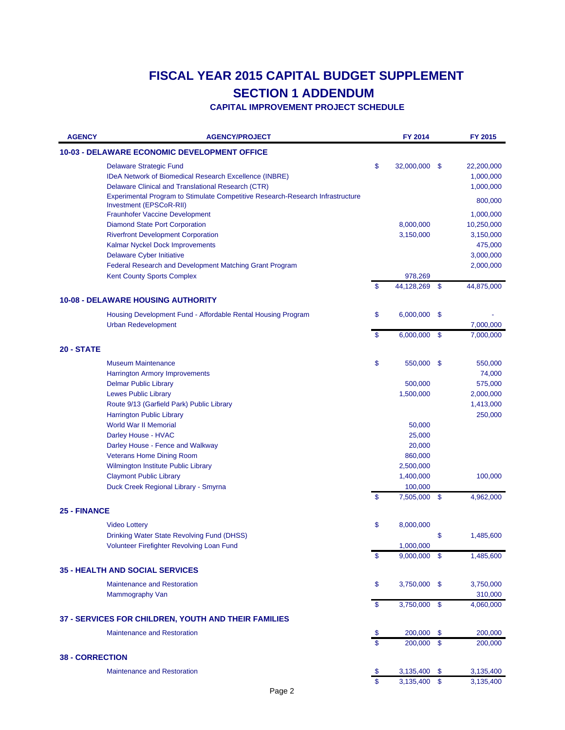| <b>AGENCY</b>          | <b>AGENCY/PROJECT</b>                                                                                                                          |                | FY 2014        |      | FY 2015                              |
|------------------------|------------------------------------------------------------------------------------------------------------------------------------------------|----------------|----------------|------|--------------------------------------|
|                        | <b>10-03 - DELAWARE ECONOMIC DEVELOPMENT OFFICE</b>                                                                                            |                |                |      |                                      |
|                        | <b>Delaware Strategic Fund</b><br>IDeA Network of Biomedical Research Excellence (INBRE)<br>Delaware Clinical and Translational Research (CTR) | \$             | 32,000,000     | - \$ | 22,200,000<br>1,000,000<br>1,000,000 |
|                        | Experimental Program to Stimulate Competitive Research-Research Infrastructure<br>Investment (EPSCoR-RII)                                      |                |                |      | 800,000                              |
|                        | <b>Fraunhofer Vaccine Development</b>                                                                                                          |                |                |      | 1,000,000                            |
|                        | <b>Diamond State Port Corporation</b>                                                                                                          |                | 8,000,000      |      | 10,250,000                           |
|                        | <b>Riverfront Development Corporation</b>                                                                                                      |                | 3,150,000      |      | 3,150,000                            |
|                        | Kalmar Nyckel Dock Improvements                                                                                                                |                |                |      | 475,000                              |
|                        | <b>Delaware Cyber Initiative</b>                                                                                                               |                |                |      | 3,000,000                            |
|                        | Federal Research and Development Matching Grant Program                                                                                        |                |                |      | 2,000,000                            |
|                        | <b>Kent County Sports Complex</b>                                                                                                              |                | 978,269        |      |                                      |
|                        |                                                                                                                                                | \$             | 44,128,269     | \$   | 44,875,000                           |
|                        | <b>10-08 - DELAWARE HOUSING AUTHORITY</b>                                                                                                      |                |                |      |                                      |
|                        | Housing Development Fund - Affordable Rental Housing Program                                                                                   | \$             | 6,000,000      | - \$ |                                      |
|                        | <b>Urban Redevelopment</b>                                                                                                                     | $\mathfrak{s}$ | $6,000,000$ \$ |      | 7,000,000<br>7,000,000               |
| <b>20 - STATE</b>      |                                                                                                                                                |                |                |      |                                      |
|                        | <b>Museum Maintenance</b>                                                                                                                      | \$             | 550,000        | - \$ | 550,000                              |
|                        | <b>Harrington Armory Improvements</b>                                                                                                          |                |                |      | 74,000                               |
|                        | <b>Delmar Public Library</b>                                                                                                                   |                | 500,000        |      | 575,000                              |
|                        | <b>Lewes Public Library</b>                                                                                                                    |                | 1,500,000      |      | 2,000,000                            |
|                        | Route 9/13 (Garfield Park) Public Library                                                                                                      |                |                |      | 1,413,000                            |
|                        | <b>Harrington Public Library</b>                                                                                                               |                |                |      | 250,000                              |
|                        | <b>World War II Memorial</b>                                                                                                                   |                | 50,000         |      |                                      |
|                        | Darley House - HVAC                                                                                                                            |                | 25,000         |      |                                      |
|                        | Darley House - Fence and Walkway                                                                                                               |                | 20,000         |      |                                      |
|                        | <b>Veterans Home Dining Room</b>                                                                                                               |                | 860,000        |      |                                      |
|                        | Wilmington Institute Public Library                                                                                                            |                | 2,500,000      |      |                                      |
|                        | <b>Claymont Public Library</b>                                                                                                                 |                | 1,400,000      |      | 100,000                              |
|                        | Duck Creek Regional Library - Smyrna                                                                                                           |                | 100,000        |      |                                      |
|                        |                                                                                                                                                | \$             | 7,505,000 \$   |      | 4,962,000                            |
| <b>25 - FINANCE</b>    |                                                                                                                                                |                |                |      |                                      |
|                        | <b>Video Lottery</b>                                                                                                                           | \$             | 8,000,000      |      |                                      |
|                        | Drinking Water State Revolving Fund (DHSS)                                                                                                     |                |                | \$   | 1,485,600                            |
|                        | Volunteer Firefighter Revolving Loan Fund                                                                                                      |                | 1,000,000      |      |                                      |
|                        |                                                                                                                                                | \$             | $9,000,000$ \$ |      | 1,485,600                            |
|                        | <b>35 - HEALTH AND SOCIAL SERVICES</b>                                                                                                         |                |                |      |                                      |
|                        | <b>Maintenance and Restoration</b>                                                                                                             | \$             | 3,750,000 \$   |      | 3,750,000                            |
|                        | Mammography Van                                                                                                                                |                |                |      | 310,000                              |
|                        |                                                                                                                                                | \$             | 3,750,000 \$   |      | 4,060,000                            |
|                        | 37 - SERVICES FOR CHILDREN, YOUTH AND THEIR FAMILIES                                                                                           |                |                |      |                                      |
|                        | <b>Maintenance and Restoration</b>                                                                                                             | \$             | 200,000        | -\$  | 200,000                              |
|                        |                                                                                                                                                | $\mathbf{s}$   | 200,000        | -\$  | 200,000                              |
| <b>38 - CORRECTION</b> |                                                                                                                                                |                |                |      |                                      |
|                        | <b>Maintenance and Restoration</b>                                                                                                             |                | 3,135,400      | -\$  | 3,135,400                            |
|                        |                                                                                                                                                | $\mathbf S$    | 3,135,400 \$   |      | 3,135,400                            |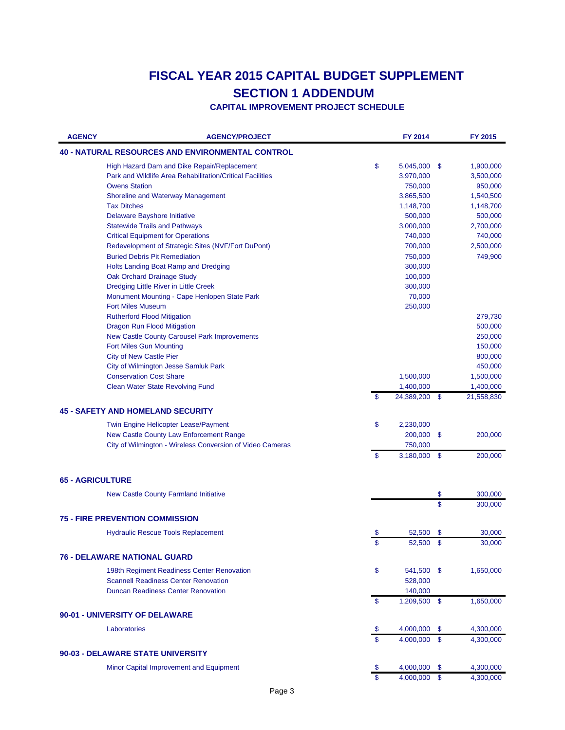| <b>40 - NATURAL RESOURCES AND ENVIRONMENTAL CONTROL</b><br>\$<br>High Hazard Dam and Dike Repair/Replacement<br>5,045,000<br>\$<br>1,900,000<br>Park and Wildlife Area Rehabilitation/Critical Facilities<br>3,970,000<br>3,500,000<br><b>Owens Station</b><br>750,000<br>950,000<br><b>Shoreline and Waterway Management</b><br>3,865,500<br>1,540,500<br><b>Tax Ditches</b><br>1,148,700<br>1,148,700<br>Delaware Bayshore Initiative<br>500,000<br>500,000<br><b>Statewide Trails and Pathways</b><br>3,000,000<br>2,700,000<br><b>Critical Equipment for Operations</b><br>740,000<br>740,000<br>Redevelopment of Strategic Sites (NVF/Fort DuPont)<br>700,000<br>2,500,000<br><b>Buried Debris Pit Remediation</b><br>750,000<br>749,900<br>Holts Landing Boat Ramp and Dredging<br>300,000<br>100,000<br>Oak Orchard Drainage Study<br>Dredging Little River in Little Creek<br>300,000<br>Monument Mounting - Cape Henlopen State Park<br>70,000<br><b>Fort Miles Museum</b><br>250,000<br><b>Rutherford Flood Mitigation</b><br>279,730<br>500,000<br>Dragon Run Flood Mitigation<br>New Castle County Carousel Park Improvements<br>250,000<br><b>Fort Miles Gun Mounting</b><br>150,000<br><b>City of New Castle Pier</b><br>800,000<br>City of Wilmington Jesse Samluk Park<br>450,000<br><b>Conservation Cost Share</b><br>1,500,000<br>1,500,000<br><b>Clean Water State Revolving Fund</b><br>1,400,000<br>1,400,000<br>\$<br>\$<br>24,389,200<br>21,558,830<br><b>45 - SAFETY AND HOMELAND SECURITY</b><br>Twin Engine Helicopter Lease/Payment<br>\$<br>2,230,000<br>New Castle County Law Enforcement Range<br>200,000<br>\$<br>200,000<br>City of Wilmington - Wireless Conversion of Video Cameras<br>750,000<br>\$<br>3,180,000<br>\$<br>200,000<br><b>65 - AGRICULTURE</b><br>\$<br>300,000<br>New Castle County Farmland Initiative<br>\$<br>300,000<br><b>75 - FIRE PREVENTION COMMISSION</b><br><b>Hydraulic Rescue Tools Replacement</b><br>52,500<br>\$<br>30,000<br>$\sqrt{2}$<br>30,000<br>52,500<br><b>76 - DELAWARE NATIONAL GUARD</b><br>\$<br>198th Regiment Readiness Center Renovation<br>541,500 \$<br>1,650,000<br><b>Scannell Readiness Center Renovation</b><br>528,000<br><b>Duncan Readiness Center Renovation</b><br>140,000<br>\$<br>$1,209,500$ \$<br>1,650,000<br>90-01 - UNIVERSITY OF DELAWARE<br>Laboratories<br>4,000,000<br>4,300,000<br>-\$<br>\$<br>\$<br>4,000,000<br>\$<br>4,300,000<br>90-03 - DELAWARE STATE UNIVERSITY<br>Minor Capital Improvement and Equipment<br>4,000,000<br>-\$<br>4,300,000<br>-\$<br>$\mathbf{s}$<br>4,000,000 \$<br>4,300,000 | <b>AGENCY</b> | <b>AGENCY/PROJECT</b> | FY 2014 | FY 2015 |
|----------------------------------------------------------------------------------------------------------------------------------------------------------------------------------------------------------------------------------------------------------------------------------------------------------------------------------------------------------------------------------------------------------------------------------------------------------------------------------------------------------------------------------------------------------------------------------------------------------------------------------------------------------------------------------------------------------------------------------------------------------------------------------------------------------------------------------------------------------------------------------------------------------------------------------------------------------------------------------------------------------------------------------------------------------------------------------------------------------------------------------------------------------------------------------------------------------------------------------------------------------------------------------------------------------------------------------------------------------------------------------------------------------------------------------------------------------------------------------------------------------------------------------------------------------------------------------------------------------------------------------------------------------------------------------------------------------------------------------------------------------------------------------------------------------------------------------------------------------------------------------------------------------------------------------------------------------------------------------------------------------------------------------------------------------------------------------------------------------------------------------------------------------------------------------------------------------------------------------------------------------------------------------------------------------------------------------------------------------------------------------------------------------------------------------------------------------------------------------------------------------------------------------------------------------------------------------------------------------------|---------------|-----------------------|---------|---------|
|                                                                                                                                                                                                                                                                                                                                                                                                                                                                                                                                                                                                                                                                                                                                                                                                                                                                                                                                                                                                                                                                                                                                                                                                                                                                                                                                                                                                                                                                                                                                                                                                                                                                                                                                                                                                                                                                                                                                                                                                                                                                                                                                                                                                                                                                                                                                                                                                                                                                                                                                                                                                                |               |                       |         |         |
|                                                                                                                                                                                                                                                                                                                                                                                                                                                                                                                                                                                                                                                                                                                                                                                                                                                                                                                                                                                                                                                                                                                                                                                                                                                                                                                                                                                                                                                                                                                                                                                                                                                                                                                                                                                                                                                                                                                                                                                                                                                                                                                                                                                                                                                                                                                                                                                                                                                                                                                                                                                                                |               |                       |         |         |
|                                                                                                                                                                                                                                                                                                                                                                                                                                                                                                                                                                                                                                                                                                                                                                                                                                                                                                                                                                                                                                                                                                                                                                                                                                                                                                                                                                                                                                                                                                                                                                                                                                                                                                                                                                                                                                                                                                                                                                                                                                                                                                                                                                                                                                                                                                                                                                                                                                                                                                                                                                                                                |               |                       |         |         |
|                                                                                                                                                                                                                                                                                                                                                                                                                                                                                                                                                                                                                                                                                                                                                                                                                                                                                                                                                                                                                                                                                                                                                                                                                                                                                                                                                                                                                                                                                                                                                                                                                                                                                                                                                                                                                                                                                                                                                                                                                                                                                                                                                                                                                                                                                                                                                                                                                                                                                                                                                                                                                |               |                       |         |         |
|                                                                                                                                                                                                                                                                                                                                                                                                                                                                                                                                                                                                                                                                                                                                                                                                                                                                                                                                                                                                                                                                                                                                                                                                                                                                                                                                                                                                                                                                                                                                                                                                                                                                                                                                                                                                                                                                                                                                                                                                                                                                                                                                                                                                                                                                                                                                                                                                                                                                                                                                                                                                                |               |                       |         |         |
|                                                                                                                                                                                                                                                                                                                                                                                                                                                                                                                                                                                                                                                                                                                                                                                                                                                                                                                                                                                                                                                                                                                                                                                                                                                                                                                                                                                                                                                                                                                                                                                                                                                                                                                                                                                                                                                                                                                                                                                                                                                                                                                                                                                                                                                                                                                                                                                                                                                                                                                                                                                                                |               |                       |         |         |
|                                                                                                                                                                                                                                                                                                                                                                                                                                                                                                                                                                                                                                                                                                                                                                                                                                                                                                                                                                                                                                                                                                                                                                                                                                                                                                                                                                                                                                                                                                                                                                                                                                                                                                                                                                                                                                                                                                                                                                                                                                                                                                                                                                                                                                                                                                                                                                                                                                                                                                                                                                                                                |               |                       |         |         |
|                                                                                                                                                                                                                                                                                                                                                                                                                                                                                                                                                                                                                                                                                                                                                                                                                                                                                                                                                                                                                                                                                                                                                                                                                                                                                                                                                                                                                                                                                                                                                                                                                                                                                                                                                                                                                                                                                                                                                                                                                                                                                                                                                                                                                                                                                                                                                                                                                                                                                                                                                                                                                |               |                       |         |         |
|                                                                                                                                                                                                                                                                                                                                                                                                                                                                                                                                                                                                                                                                                                                                                                                                                                                                                                                                                                                                                                                                                                                                                                                                                                                                                                                                                                                                                                                                                                                                                                                                                                                                                                                                                                                                                                                                                                                                                                                                                                                                                                                                                                                                                                                                                                                                                                                                                                                                                                                                                                                                                |               |                       |         |         |
|                                                                                                                                                                                                                                                                                                                                                                                                                                                                                                                                                                                                                                                                                                                                                                                                                                                                                                                                                                                                                                                                                                                                                                                                                                                                                                                                                                                                                                                                                                                                                                                                                                                                                                                                                                                                                                                                                                                                                                                                                                                                                                                                                                                                                                                                                                                                                                                                                                                                                                                                                                                                                |               |                       |         |         |
|                                                                                                                                                                                                                                                                                                                                                                                                                                                                                                                                                                                                                                                                                                                                                                                                                                                                                                                                                                                                                                                                                                                                                                                                                                                                                                                                                                                                                                                                                                                                                                                                                                                                                                                                                                                                                                                                                                                                                                                                                                                                                                                                                                                                                                                                                                                                                                                                                                                                                                                                                                                                                |               |                       |         |         |
|                                                                                                                                                                                                                                                                                                                                                                                                                                                                                                                                                                                                                                                                                                                                                                                                                                                                                                                                                                                                                                                                                                                                                                                                                                                                                                                                                                                                                                                                                                                                                                                                                                                                                                                                                                                                                                                                                                                                                                                                                                                                                                                                                                                                                                                                                                                                                                                                                                                                                                                                                                                                                |               |                       |         |         |
|                                                                                                                                                                                                                                                                                                                                                                                                                                                                                                                                                                                                                                                                                                                                                                                                                                                                                                                                                                                                                                                                                                                                                                                                                                                                                                                                                                                                                                                                                                                                                                                                                                                                                                                                                                                                                                                                                                                                                                                                                                                                                                                                                                                                                                                                                                                                                                                                                                                                                                                                                                                                                |               |                       |         |         |
|                                                                                                                                                                                                                                                                                                                                                                                                                                                                                                                                                                                                                                                                                                                                                                                                                                                                                                                                                                                                                                                                                                                                                                                                                                                                                                                                                                                                                                                                                                                                                                                                                                                                                                                                                                                                                                                                                                                                                                                                                                                                                                                                                                                                                                                                                                                                                                                                                                                                                                                                                                                                                |               |                       |         |         |
|                                                                                                                                                                                                                                                                                                                                                                                                                                                                                                                                                                                                                                                                                                                                                                                                                                                                                                                                                                                                                                                                                                                                                                                                                                                                                                                                                                                                                                                                                                                                                                                                                                                                                                                                                                                                                                                                                                                                                                                                                                                                                                                                                                                                                                                                                                                                                                                                                                                                                                                                                                                                                |               |                       |         |         |
|                                                                                                                                                                                                                                                                                                                                                                                                                                                                                                                                                                                                                                                                                                                                                                                                                                                                                                                                                                                                                                                                                                                                                                                                                                                                                                                                                                                                                                                                                                                                                                                                                                                                                                                                                                                                                                                                                                                                                                                                                                                                                                                                                                                                                                                                                                                                                                                                                                                                                                                                                                                                                |               |                       |         |         |
|                                                                                                                                                                                                                                                                                                                                                                                                                                                                                                                                                                                                                                                                                                                                                                                                                                                                                                                                                                                                                                                                                                                                                                                                                                                                                                                                                                                                                                                                                                                                                                                                                                                                                                                                                                                                                                                                                                                                                                                                                                                                                                                                                                                                                                                                                                                                                                                                                                                                                                                                                                                                                |               |                       |         |         |
|                                                                                                                                                                                                                                                                                                                                                                                                                                                                                                                                                                                                                                                                                                                                                                                                                                                                                                                                                                                                                                                                                                                                                                                                                                                                                                                                                                                                                                                                                                                                                                                                                                                                                                                                                                                                                                                                                                                                                                                                                                                                                                                                                                                                                                                                                                                                                                                                                                                                                                                                                                                                                |               |                       |         |         |
|                                                                                                                                                                                                                                                                                                                                                                                                                                                                                                                                                                                                                                                                                                                                                                                                                                                                                                                                                                                                                                                                                                                                                                                                                                                                                                                                                                                                                                                                                                                                                                                                                                                                                                                                                                                                                                                                                                                                                                                                                                                                                                                                                                                                                                                                                                                                                                                                                                                                                                                                                                                                                |               |                       |         |         |
|                                                                                                                                                                                                                                                                                                                                                                                                                                                                                                                                                                                                                                                                                                                                                                                                                                                                                                                                                                                                                                                                                                                                                                                                                                                                                                                                                                                                                                                                                                                                                                                                                                                                                                                                                                                                                                                                                                                                                                                                                                                                                                                                                                                                                                                                                                                                                                                                                                                                                                                                                                                                                |               |                       |         |         |
|                                                                                                                                                                                                                                                                                                                                                                                                                                                                                                                                                                                                                                                                                                                                                                                                                                                                                                                                                                                                                                                                                                                                                                                                                                                                                                                                                                                                                                                                                                                                                                                                                                                                                                                                                                                                                                                                                                                                                                                                                                                                                                                                                                                                                                                                                                                                                                                                                                                                                                                                                                                                                |               |                       |         |         |
|                                                                                                                                                                                                                                                                                                                                                                                                                                                                                                                                                                                                                                                                                                                                                                                                                                                                                                                                                                                                                                                                                                                                                                                                                                                                                                                                                                                                                                                                                                                                                                                                                                                                                                                                                                                                                                                                                                                                                                                                                                                                                                                                                                                                                                                                                                                                                                                                                                                                                                                                                                                                                |               |                       |         |         |
|                                                                                                                                                                                                                                                                                                                                                                                                                                                                                                                                                                                                                                                                                                                                                                                                                                                                                                                                                                                                                                                                                                                                                                                                                                                                                                                                                                                                                                                                                                                                                                                                                                                                                                                                                                                                                                                                                                                                                                                                                                                                                                                                                                                                                                                                                                                                                                                                                                                                                                                                                                                                                |               |                       |         |         |
|                                                                                                                                                                                                                                                                                                                                                                                                                                                                                                                                                                                                                                                                                                                                                                                                                                                                                                                                                                                                                                                                                                                                                                                                                                                                                                                                                                                                                                                                                                                                                                                                                                                                                                                                                                                                                                                                                                                                                                                                                                                                                                                                                                                                                                                                                                                                                                                                                                                                                                                                                                                                                |               |                       |         |         |
|                                                                                                                                                                                                                                                                                                                                                                                                                                                                                                                                                                                                                                                                                                                                                                                                                                                                                                                                                                                                                                                                                                                                                                                                                                                                                                                                                                                                                                                                                                                                                                                                                                                                                                                                                                                                                                                                                                                                                                                                                                                                                                                                                                                                                                                                                                                                                                                                                                                                                                                                                                                                                |               |                       |         |         |
|                                                                                                                                                                                                                                                                                                                                                                                                                                                                                                                                                                                                                                                                                                                                                                                                                                                                                                                                                                                                                                                                                                                                                                                                                                                                                                                                                                                                                                                                                                                                                                                                                                                                                                                                                                                                                                                                                                                                                                                                                                                                                                                                                                                                                                                                                                                                                                                                                                                                                                                                                                                                                |               |                       |         |         |
|                                                                                                                                                                                                                                                                                                                                                                                                                                                                                                                                                                                                                                                                                                                                                                                                                                                                                                                                                                                                                                                                                                                                                                                                                                                                                                                                                                                                                                                                                                                                                                                                                                                                                                                                                                                                                                                                                                                                                                                                                                                                                                                                                                                                                                                                                                                                                                                                                                                                                                                                                                                                                |               |                       |         |         |
|                                                                                                                                                                                                                                                                                                                                                                                                                                                                                                                                                                                                                                                                                                                                                                                                                                                                                                                                                                                                                                                                                                                                                                                                                                                                                                                                                                                                                                                                                                                                                                                                                                                                                                                                                                                                                                                                                                                                                                                                                                                                                                                                                                                                                                                                                                                                                                                                                                                                                                                                                                                                                |               |                       |         |         |
|                                                                                                                                                                                                                                                                                                                                                                                                                                                                                                                                                                                                                                                                                                                                                                                                                                                                                                                                                                                                                                                                                                                                                                                                                                                                                                                                                                                                                                                                                                                                                                                                                                                                                                                                                                                                                                                                                                                                                                                                                                                                                                                                                                                                                                                                                                                                                                                                                                                                                                                                                                                                                |               |                       |         |         |
|                                                                                                                                                                                                                                                                                                                                                                                                                                                                                                                                                                                                                                                                                                                                                                                                                                                                                                                                                                                                                                                                                                                                                                                                                                                                                                                                                                                                                                                                                                                                                                                                                                                                                                                                                                                                                                                                                                                                                                                                                                                                                                                                                                                                                                                                                                                                                                                                                                                                                                                                                                                                                |               |                       |         |         |
|                                                                                                                                                                                                                                                                                                                                                                                                                                                                                                                                                                                                                                                                                                                                                                                                                                                                                                                                                                                                                                                                                                                                                                                                                                                                                                                                                                                                                                                                                                                                                                                                                                                                                                                                                                                                                                                                                                                                                                                                                                                                                                                                                                                                                                                                                                                                                                                                                                                                                                                                                                                                                |               |                       |         |         |
|                                                                                                                                                                                                                                                                                                                                                                                                                                                                                                                                                                                                                                                                                                                                                                                                                                                                                                                                                                                                                                                                                                                                                                                                                                                                                                                                                                                                                                                                                                                                                                                                                                                                                                                                                                                                                                                                                                                                                                                                                                                                                                                                                                                                                                                                                                                                                                                                                                                                                                                                                                                                                |               |                       |         |         |
|                                                                                                                                                                                                                                                                                                                                                                                                                                                                                                                                                                                                                                                                                                                                                                                                                                                                                                                                                                                                                                                                                                                                                                                                                                                                                                                                                                                                                                                                                                                                                                                                                                                                                                                                                                                                                                                                                                                                                                                                                                                                                                                                                                                                                                                                                                                                                                                                                                                                                                                                                                                                                |               |                       |         |         |
|                                                                                                                                                                                                                                                                                                                                                                                                                                                                                                                                                                                                                                                                                                                                                                                                                                                                                                                                                                                                                                                                                                                                                                                                                                                                                                                                                                                                                                                                                                                                                                                                                                                                                                                                                                                                                                                                                                                                                                                                                                                                                                                                                                                                                                                                                                                                                                                                                                                                                                                                                                                                                |               |                       |         |         |
|                                                                                                                                                                                                                                                                                                                                                                                                                                                                                                                                                                                                                                                                                                                                                                                                                                                                                                                                                                                                                                                                                                                                                                                                                                                                                                                                                                                                                                                                                                                                                                                                                                                                                                                                                                                                                                                                                                                                                                                                                                                                                                                                                                                                                                                                                                                                                                                                                                                                                                                                                                                                                |               |                       |         |         |
|                                                                                                                                                                                                                                                                                                                                                                                                                                                                                                                                                                                                                                                                                                                                                                                                                                                                                                                                                                                                                                                                                                                                                                                                                                                                                                                                                                                                                                                                                                                                                                                                                                                                                                                                                                                                                                                                                                                                                                                                                                                                                                                                                                                                                                                                                                                                                                                                                                                                                                                                                                                                                |               |                       |         |         |
|                                                                                                                                                                                                                                                                                                                                                                                                                                                                                                                                                                                                                                                                                                                                                                                                                                                                                                                                                                                                                                                                                                                                                                                                                                                                                                                                                                                                                                                                                                                                                                                                                                                                                                                                                                                                                                                                                                                                                                                                                                                                                                                                                                                                                                                                                                                                                                                                                                                                                                                                                                                                                |               |                       |         |         |
|                                                                                                                                                                                                                                                                                                                                                                                                                                                                                                                                                                                                                                                                                                                                                                                                                                                                                                                                                                                                                                                                                                                                                                                                                                                                                                                                                                                                                                                                                                                                                                                                                                                                                                                                                                                                                                                                                                                                                                                                                                                                                                                                                                                                                                                                                                                                                                                                                                                                                                                                                                                                                |               |                       |         |         |
|                                                                                                                                                                                                                                                                                                                                                                                                                                                                                                                                                                                                                                                                                                                                                                                                                                                                                                                                                                                                                                                                                                                                                                                                                                                                                                                                                                                                                                                                                                                                                                                                                                                                                                                                                                                                                                                                                                                                                                                                                                                                                                                                                                                                                                                                                                                                                                                                                                                                                                                                                                                                                |               |                       |         |         |
|                                                                                                                                                                                                                                                                                                                                                                                                                                                                                                                                                                                                                                                                                                                                                                                                                                                                                                                                                                                                                                                                                                                                                                                                                                                                                                                                                                                                                                                                                                                                                                                                                                                                                                                                                                                                                                                                                                                                                                                                                                                                                                                                                                                                                                                                                                                                                                                                                                                                                                                                                                                                                |               |                       |         |         |
|                                                                                                                                                                                                                                                                                                                                                                                                                                                                                                                                                                                                                                                                                                                                                                                                                                                                                                                                                                                                                                                                                                                                                                                                                                                                                                                                                                                                                                                                                                                                                                                                                                                                                                                                                                                                                                                                                                                                                                                                                                                                                                                                                                                                                                                                                                                                                                                                                                                                                                                                                                                                                |               |                       |         |         |
|                                                                                                                                                                                                                                                                                                                                                                                                                                                                                                                                                                                                                                                                                                                                                                                                                                                                                                                                                                                                                                                                                                                                                                                                                                                                                                                                                                                                                                                                                                                                                                                                                                                                                                                                                                                                                                                                                                                                                                                                                                                                                                                                                                                                                                                                                                                                                                                                                                                                                                                                                                                                                |               |                       |         |         |
|                                                                                                                                                                                                                                                                                                                                                                                                                                                                                                                                                                                                                                                                                                                                                                                                                                                                                                                                                                                                                                                                                                                                                                                                                                                                                                                                                                                                                                                                                                                                                                                                                                                                                                                                                                                                                                                                                                                                                                                                                                                                                                                                                                                                                                                                                                                                                                                                                                                                                                                                                                                                                |               |                       |         |         |
|                                                                                                                                                                                                                                                                                                                                                                                                                                                                                                                                                                                                                                                                                                                                                                                                                                                                                                                                                                                                                                                                                                                                                                                                                                                                                                                                                                                                                                                                                                                                                                                                                                                                                                                                                                                                                                                                                                                                                                                                                                                                                                                                                                                                                                                                                                                                                                                                                                                                                                                                                                                                                |               |                       |         |         |
|                                                                                                                                                                                                                                                                                                                                                                                                                                                                                                                                                                                                                                                                                                                                                                                                                                                                                                                                                                                                                                                                                                                                                                                                                                                                                                                                                                                                                                                                                                                                                                                                                                                                                                                                                                                                                                                                                                                                                                                                                                                                                                                                                                                                                                                                                                                                                                                                                                                                                                                                                                                                                |               |                       |         |         |
|                                                                                                                                                                                                                                                                                                                                                                                                                                                                                                                                                                                                                                                                                                                                                                                                                                                                                                                                                                                                                                                                                                                                                                                                                                                                                                                                                                                                                                                                                                                                                                                                                                                                                                                                                                                                                                                                                                                                                                                                                                                                                                                                                                                                                                                                                                                                                                                                                                                                                                                                                                                                                |               |                       |         |         |
|                                                                                                                                                                                                                                                                                                                                                                                                                                                                                                                                                                                                                                                                                                                                                                                                                                                                                                                                                                                                                                                                                                                                                                                                                                                                                                                                                                                                                                                                                                                                                                                                                                                                                                                                                                                                                                                                                                                                                                                                                                                                                                                                                                                                                                                                                                                                                                                                                                                                                                                                                                                                                |               |                       |         |         |
|                                                                                                                                                                                                                                                                                                                                                                                                                                                                                                                                                                                                                                                                                                                                                                                                                                                                                                                                                                                                                                                                                                                                                                                                                                                                                                                                                                                                                                                                                                                                                                                                                                                                                                                                                                                                                                                                                                                                                                                                                                                                                                                                                                                                                                                                                                                                                                                                                                                                                                                                                                                                                |               |                       |         |         |
|                                                                                                                                                                                                                                                                                                                                                                                                                                                                                                                                                                                                                                                                                                                                                                                                                                                                                                                                                                                                                                                                                                                                                                                                                                                                                                                                                                                                                                                                                                                                                                                                                                                                                                                                                                                                                                                                                                                                                                                                                                                                                                                                                                                                                                                                                                                                                                                                                                                                                                                                                                                                                |               |                       |         |         |
|                                                                                                                                                                                                                                                                                                                                                                                                                                                                                                                                                                                                                                                                                                                                                                                                                                                                                                                                                                                                                                                                                                                                                                                                                                                                                                                                                                                                                                                                                                                                                                                                                                                                                                                                                                                                                                                                                                                                                                                                                                                                                                                                                                                                                                                                                                                                                                                                                                                                                                                                                                                                                |               |                       |         |         |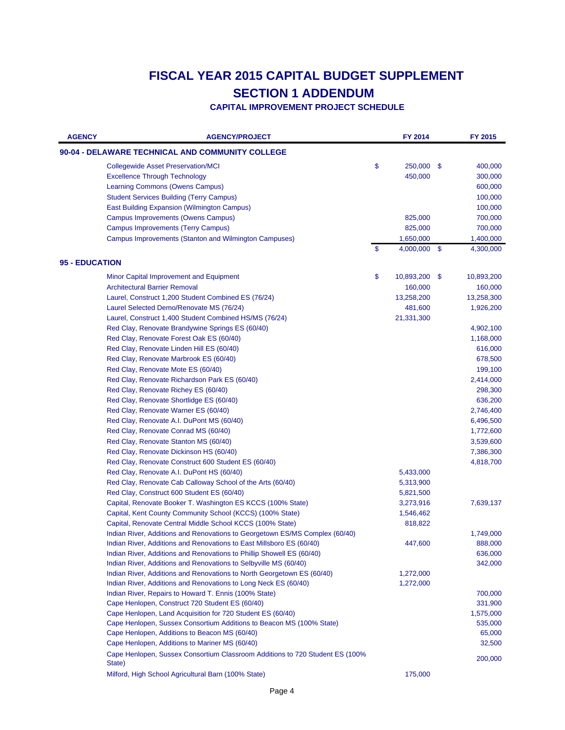| <b>AGENCY</b>         | <b>AGENCY/PROJECT</b>                                                                   | FY 2014             |     | FY 2015    |
|-----------------------|-----------------------------------------------------------------------------------------|---------------------|-----|------------|
|                       | 90-04 - DELAWARE TECHNICAL AND COMMUNITY COLLEGE                                        |                     |     |            |
|                       | <b>Collegewide Asset Preservation/MCI</b>                                               | \$<br>250,000       | -\$ | 400,000    |
|                       | <b>Excellence Through Technology</b>                                                    | 450,000             |     | 300,000    |
|                       | <b>Learning Commons (Owens Campus)</b>                                                  |                     |     | 600,000    |
|                       | <b>Student Services Building (Terry Campus)</b>                                         |                     |     | 100,000    |
|                       | East Building Expansion (Wilmington Campus)                                             |                     |     | 100,000    |
|                       | <b>Campus Improvements (Owens Campus)</b>                                               | 825,000             |     | 700,000    |
|                       | <b>Campus Improvements (Terry Campus)</b>                                               | 825,000             |     | 700,000    |
|                       | Campus Improvements (Stanton and Wilmington Campuses)                                   | 1,650,000           |     | 1,400,000  |
|                       |                                                                                         | \$<br>4,000,000     | -\$ | 4,300,000  |
| <b>95 - EDUCATION</b> |                                                                                         |                     |     |            |
|                       | Minor Capital Improvement and Equipment                                                 | \$<br>10,893,200 \$ |     | 10,893,200 |
|                       | <b>Architectural Barrier Removal</b>                                                    | 160,000             |     | 160,000    |
|                       | Laurel, Construct 1,200 Student Combined ES (76/24)                                     | 13,258,200          |     | 13,258,300 |
|                       | Laurel Selected Demo/Renovate MS (76/24)                                                | 481,600             |     | 1,926,200  |
|                       | Laurel, Construct 1,400 Student Combined HS/MS (76/24)                                  | 21,331,300          |     |            |
|                       | Red Clay, Renovate Brandywine Springs ES (60/40)                                        |                     |     | 4,902,100  |
|                       | Red Clay, Renovate Forest Oak ES (60/40)                                                |                     |     | 1,168,000  |
|                       | Red Clay, Renovate Linden Hill ES (60/40)                                               |                     |     | 616,000    |
|                       | Red Clay, Renovate Marbrook ES (60/40)                                                  |                     |     | 678,500    |
|                       | Red Clay, Renovate Mote ES (60/40)                                                      |                     |     | 199,100    |
|                       | Red Clay, Renovate Richardson Park ES (60/40)                                           |                     |     | 2,414,000  |
|                       | Red Clay, Renovate Richey ES (60/40)                                                    |                     |     | 298,300    |
|                       | Red Clay, Renovate Shortlidge ES (60/40)                                                |                     |     | 636,200    |
|                       | Red Clay, Renovate Warner ES (60/40)                                                    |                     |     | 2,746,400  |
|                       | Red Clay, Renovate A.I. DuPont MS (60/40)                                               |                     |     | 6,496,500  |
|                       | Red Clay, Renovate Conrad MS (60/40)                                                    |                     |     | 1,772,600  |
|                       | Red Clay, Renovate Stanton MS (60/40)                                                   |                     |     | 3,539,600  |
|                       | Red Clay, Renovate Dickinson HS (60/40)                                                 |                     |     | 7,386,300  |
|                       | Red Clay, Renovate Construct 600 Student ES (60/40)                                     |                     |     | 4,818,700  |
|                       | Red Clay, Renovate A.I. DuPont HS (60/40)                                               | 5,433,000           |     |            |
|                       | Red Clay, Renovate Cab Calloway School of the Arts (60/40)                              | 5,313,900           |     |            |
|                       | Red Clay, Construct 600 Student ES (60/40)                                              | 5,821,500           |     |            |
|                       | Capital, Renovate Booker T. Washington ES KCCS (100% State)                             | 3,273,916           |     | 7,639,137  |
|                       | Capital, Kent County Community School (KCCS) (100% State)                               | 1,546,462           |     |            |
|                       | Capital, Renovate Central Middle School KCCS (100% State)                               | 818,822             |     |            |
|                       | Indian River, Additions and Renovations to Georgetown ES/MS Complex (60/40)             |                     |     | 1,749,000  |
|                       | Indian River, Additions and Renovations to East Millsboro ES (60/40)                    | 447,600             |     | 888,000    |
|                       | Indian River, Additions and Renovations to Phillip Showell ES (60/40)                   |                     |     | 636,000    |
|                       | Indian River, Additions and Renovations to Selbyville MS (60/40)                        |                     |     | 342,000    |
|                       | Indian River, Additions and Renovations to North Georgetown ES (60/40)                  | 1,272,000           |     |            |
|                       | Indian River, Additions and Renovations to Long Neck ES (60/40)                         | 1,272,000           |     |            |
|                       | Indian River, Repairs to Howard T. Ennis (100% State)                                   |                     |     | 700,000    |
|                       | Cape Henlopen, Construct 720 Student ES (60/40)                                         |                     |     | 331,900    |
|                       | Cape Henlopen, Land Acquisition for 720 Student ES (60/40)                              |                     |     | 1,575,000  |
|                       | Cape Henlopen, Sussex Consortium Additions to Beacon MS (100% State)                    |                     |     | 535,000    |
|                       | Cape Henlopen, Additions to Beacon MS (60/40)                                           |                     |     | 65,000     |
|                       | Cape Henlopen, Additions to Mariner MS (60/40)                                          |                     |     | 32,500     |
|                       | Cape Henlopen, Sussex Consortium Classroom Additions to 720 Student ES (100%)<br>State) |                     |     | 200,000    |
|                       | Milford, High School Agricultural Barn (100% State)                                     | 175,000             |     |            |